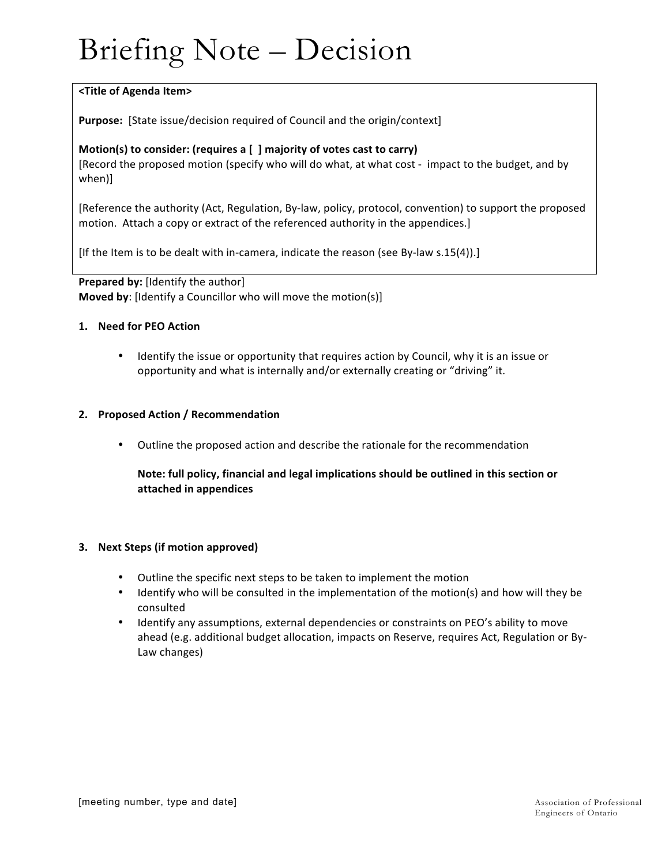# Briefing Note – Decision

## **<Title of Agenda Item>**

**Purpose:** [State issue/decision required of Council and the origin/context]

## Motion(s) to consider: (requires a [ ] majority of votes cast to carry)

[Record the proposed motion (specify who will do what, at what cost - impact to the budget, and by when)]

[Reference the authority (Act, Regulation, By-law, policy, protocol, convention) to support the proposed motion. Attach a copy or extract of the referenced authority in the appendices.]

[If the Item is to be dealt with in-camera, indicate the reason (see By-law s.15(4)).]

**Prepared by:** [Identify the author] **Moved by:** [Identify a Councillor who will move the motion(s)]

### **1. Need for PEO Action**

• Identify the issue or opportunity that requires action by Council, why it is an issue or opportunity and what is internally and/or externally creating or "driving" it.

### **2. Proposed Action / Recommendation**

• Outline the proposed action and describe the rationale for the recommendation

## Note: full policy, financial and legal implications should be outlined in this section or **attached in appendices**

#### **3. Next Steps (if motion approved)**

- Outline the specific next steps to be taken to implement the motion
- Identify who will be consulted in the implementation of the motion(s) and how will they be consulted
- Identify any assumptions, external dependencies or constraints on PEO's ability to move ahead (e.g. additional budget allocation, impacts on Reserve, requires Act, Regulation or By-Law changes)